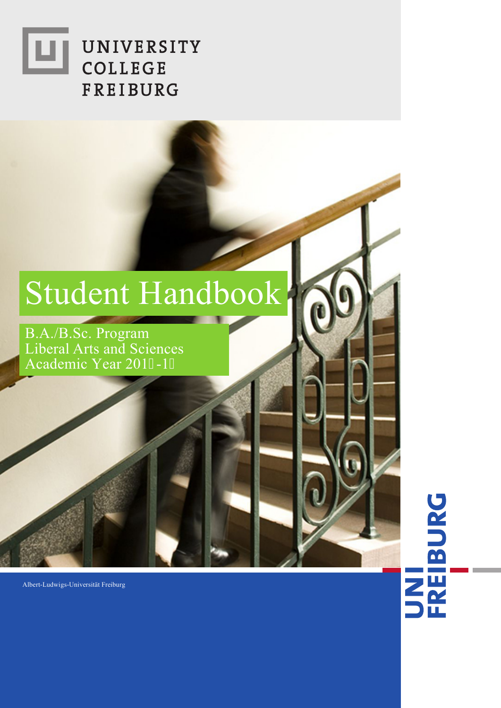# UNIVERSITY ш COLLEGE **FREIBURG**

# Student Handbook

B.A./B.Sc. Program Liberal Arts and Sciences Academic Year 2019-1:

Albert-Ludwigs-Universität Freiburg

# UNI<br>FREIBURG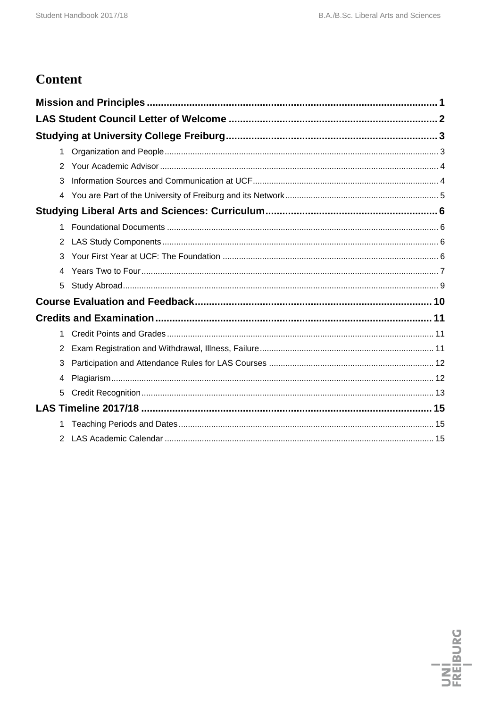# **Content**

| $\mathbf 1$    |  |
|----------------|--|
| 2              |  |
| 3              |  |
|                |  |
|                |  |
| 1              |  |
| $\overline{2}$ |  |
| 3              |  |
|                |  |
| 5              |  |
|                |  |
|                |  |
| 1              |  |
| $\overline{2}$ |  |
| 3              |  |
| 4              |  |
| 5              |  |
|                |  |
|                |  |
| 2              |  |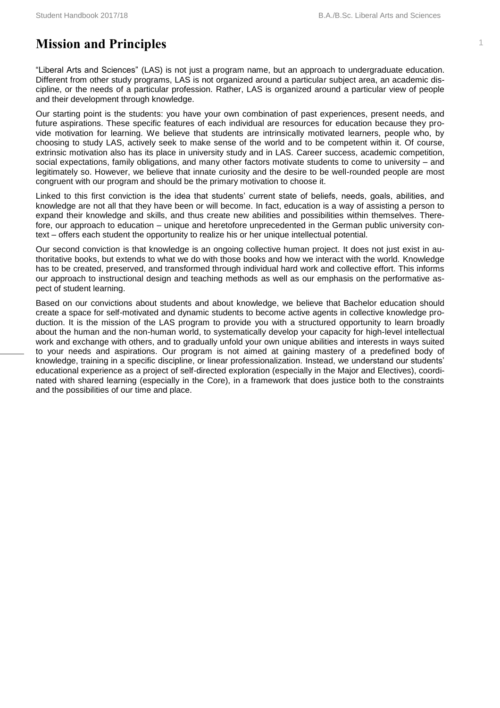# <span id="page-3-0"></span>**Mission and Principles**

"Liberal Arts and Sciences" (LAS) is not just a program name, but an approach to undergraduate education. Different from other study programs, LAS is not organized around a particular subject area, an academic discipline, or the needs of a particular profession. Rather, LAS is organized around a particular view of people and their development through knowledge.

Our starting point is the students: you have your own combination of past experiences, present needs, and future aspirations. These specific features of each individual are resources for education because they provide motivation for learning. We believe that students are intrinsically motivated learners, people who, by choosing to study LAS, actively seek to make sense of the world and to be competent within it. Of course, extrinsic motivation also has its place in university study and in LAS. Career success, academic competition, social expectations, family obligations, and many other factors motivate students to come to university – and legitimately so. However, we believe that innate curiosity and the desire to be well-rounded people are most congruent with our program and should be the primary motivation to choose it.

Linked to this first conviction is the idea that students' current state of beliefs, needs, goals, abilities, and knowledge are not all that they have been or will become. In fact, education is a way of assisting a person to expand their knowledge and skills, and thus create new abilities and possibilities within themselves. Therefore, our approach to education – unique and heretofore unprecedented in the German public university context – offers each student the opportunity to realize his or her unique intellectual potential.

Our second conviction is that knowledge is an ongoing collective human project. It does not just exist in authoritative books, but extends to what we do with those books and how we interact with the world. Knowledge has to be created, preserved, and transformed through individual hard work and collective effort. This informs our approach to instructional design and teaching methods as well as our emphasis on the performative aspect of student learning.

Based on our convictions about students and about knowledge, we believe that Bachelor education should create a space for self-motivated and dynamic students to become active agents in collective knowledge production. It is the mission of the LAS program to provide you with a structured opportunity to learn broadly about the human and the non-human world, to systematically develop your capacity for high-level intellectual work and exchange with others, and to gradually unfold your own unique abilities and interests in ways suited to your needs and aspirations. Our program is not aimed at gaining mastery of a predefined body of knowledge, training in a specific discipline, or linear professionalization. Instead, we understand our students' educational experience as a project of self-directed exploration (especially in the Major and Electives), coordinated with shared learning (especially in the Core), in a framework that does justice both to the constraints and the possibilities of our time and place.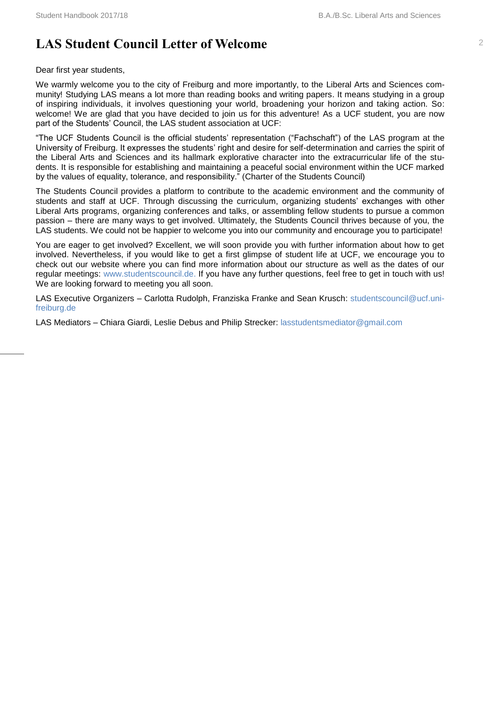# <span id="page-4-0"></span>**LAS Student Council Letter of Welcome** <sup>2</sup>

Dear first year students,

We warmly welcome you to the city of Freiburg and more importantly, to the Liberal Arts and Sciences community! Studying LAS means a lot more than reading books and writing papers. It means studying in a group of inspiring individuals, it involves questioning your world, broadening your horizon and taking action. So: welcome! We are glad that you have decided to join us for this adventure! As a UCF student, you are now part of the Students' Council, the LAS student association at UCF:

"The UCF Students Council is the official students' representation ("Fachschaft") of the LAS program at the University of Freiburg. It expresses the students' right and desire for self-determination and carries the spirit of the Liberal Arts and Sciences and its hallmark explorative character into the extracurricular life of the students. It is responsible for establishing and maintaining a peaceful social environment within the UCF marked by the values of equality, tolerance, and responsibility." (Charter of the Students Council)

The Students Council provides a platform to contribute to the academic environment and the community of students and staff at UCF. Through discussing the curriculum, organizing students' exchanges with other Liberal Arts programs, organizing conferences and talks, or assembling fellow students to pursue a common passion – there are many ways to get involved. Ultimately, the Students Council thrives because of you, the LAS students. We could not be happier to welcome you into our community and encourage you to participate!

You are eager to get involved? Excellent, we will soon provide you with further information about how to get involved. Nevertheless, if you would like to get a first glimpse of student life at UCF, we encourage you to check out our website where you can find more information about our structure as well as the dates of our regular meetings: [www.studentscouncil.de.](http://www.studentscouncil.de/) If you have any further questions, feel free to get in touch with us! We are looking forward to meeting you all soon.

LAS Executive Organizers – Carlotta Rudolph, Franziska Franke and Sean Krusch: [studentscouncil@ucf.uni](mailto:studentscouncil@ucf.uni-freiburg.de)[freiburg.de](mailto:studentscouncil@ucf.uni-freiburg.de)

LAS Mediators – Chiara Giardi, Leslie Debus and Philip Strecker: [lasstudentsmediator@gmail.com](mailto:lasstudentsmediator@gmail.com)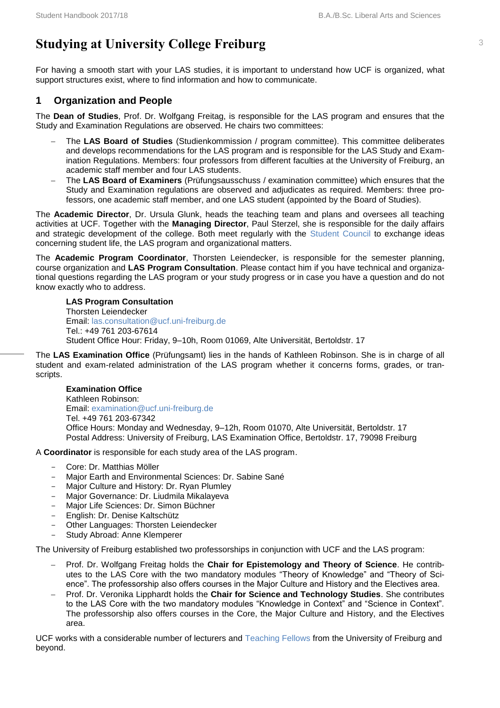# <span id="page-5-0"></span>**Studying at University College Freiburg** <sup>3</sup>

For having a smooth start with your LAS studies, it is important to understand how UCF is organized, what support structures exist, where to find information and how to communicate.

#### <span id="page-5-1"></span>**1 Organization and People**

The **Dean of Studies**, Prof. Dr. Wolfgang Freitag, is responsible for the LAS program and ensures that the Study and Examination Regulations are observed. He chairs two committees:

- The **LAS Board of Studies** (Studienkommission / program committee). This committee deliberates and develops recommendations for the LAS program and is responsible for the LAS Study and Examination Regulations. Members: four professors from different faculties at the University of Freiburg, an academic staff member and four LAS students.
- The **LAS Board of Examiners** (Prüfungsausschuss / examination committee) which ensures that the Study and Examination regulations are observed and adjudicates as required. Members: three professors, one academic staff member, and one LAS student (appointed by the Board of Studies).

The **Academic Director**, Dr. Ursula Glunk, heads the teaching team and plans and oversees all teaching activities at UCF. Together with the **Managing Director**, Paul Sterzel, she is responsible for the daily affairs and strategic development of the college. Both meet regularly with the [Student Council](http://www.ucf.uni-freiburg.de/people/students-council) to exchange ideas concerning student life, the LAS program and organizational matters.

The **Academic Program Coordinator**, Thorsten Leiendecker, is responsible for the semester planning, course organization and **LAS Program Consultation**. Please contact him if you have technical and organizational questions regarding the LAS program or your study progress or in case you have a question and do not know exactly who to address.

**LAS Program Consultation** Thorsten Leiendecker Email: [las.consultation@ucf.uni-freiburg.de](mailto:las.consultation@ucf.uni-freiburg.de) Tel.: +49 761 203-67614 Student Office Hour: Friday, 9–10h, Room 01069, Alte Un**i**versität, Bertoldstr. 17

The **LAS Examination Office** (Prüfungsamt) lies in the hands of Kathleen Robinson. She is in charge of all student and exam-related administration of the LAS program whether it concerns forms, grades, or transcripts.

#### **Examination Office** Kathleen Robinson: Email: [examination@ucf.uni-freiburg.de](mailto:examination@ucf.uni-freiburg.de) Tel. +49 761 203-67342 Office Hours: Monday and Wednesday, 9–12h, Room 01070, Alte Universität, Bertoldstr. 17 Postal Address: University of Freiburg, LAS Examination Office, Bertoldstr. 17, 79098 Freiburg

A **Coordinator** is responsible for each study area of the LAS program.

- Core: Dr. Matthias Möller
- Major Earth and Environmental Sciences: Dr. Sabine Sané
- Major Culture and History: Dr. Ryan Plumley
- Major Governance: Dr. Liudmila Mikalayeva
- Major Life Sciences: Dr. Simon Büchner
- English: Dr. Denise Kaltschütz
- Other Languages: Thorsten Leiendecker
- Study Abroad: Anne Klemperer

The University of Freiburg established two professorships in conjunction with UCF and the LAS program:

- Prof. Dr. Wolfgang Freitag holds the **Chair for Epistemology and Theory of Science**. He contributes to the LAS Core with the two mandatory modules "Theory of Knowledge" and "Theory of Science". The professorship also offers courses in the Major Culture and History and the Electives area.
- Prof. Dr. Veronika Lipphardt holds the **Chair for Science and Technology Studies**. She contributes to the LAS Core with the two mandatory modules "Knowledge in Context" and "Science in Context". The professorship also offers courses in the Core, the Major Culture and History, and the Electives area.

UCF works with a considerable number of lecturers and [Teaching Fellows](http://www.ucf.uni-freiburg.de/people/teaching/current-teaching-fellows) from the University of Freiburg and beyond.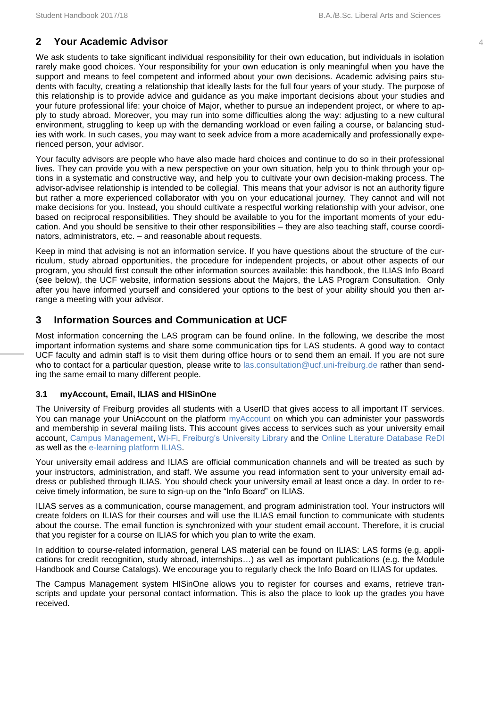#### <span id="page-6-0"></span>**2 Your Academic Advisor** 4

We ask students to take significant individual responsibility for their own education, but individuals in isolation rarely make good choices. Your responsibility for your own education is only meaningful when you have the support and means to feel competent and informed about your own decisions. Academic advising pairs students with faculty, creating a relationship that ideally lasts for the full four years of your study. The purpose of this relationship is to provide advice and guidance as you make important decisions about your studies and your future professional life: your choice of Major, whether to pursue an independent project, or where to apply to study abroad. Moreover, you may run into some difficulties along the way: adjusting to a new cultural environment, struggling to keep up with the demanding workload or even failing a course, or balancing studies with work. In such cases, you may want to seek advice from a more academically and professionally experienced person, your advisor.

Your faculty advisors are people who have also made hard choices and continue to do so in their professional lives. They can provide you with a new perspective on your own situation, help you to think through your options in a systematic and constructive way, and help you to cultivate your own decision-making process. The advisor-advisee relationship is intended to be collegial. This means that your advisor is not an authority figure but rather a more experienced collaborator with you on your educational journey. They cannot and will not make decisions for you. Instead, you should cultivate a respectful working relationship with your advisor, one based on reciprocal responsibilities. They should be available to you for the important moments of your education. And you should be sensitive to their other responsibilities – they are also teaching staff, course coordinators, administrators, etc. – and reasonable about requests.

Keep in mind that advising is not an information service. If you have questions about the structure of the curriculum, study abroad opportunities, the procedure for independent projects, or about other aspects of our program, you should first consult the other information sources available: this handbook, the ILIAS Info Board (see below), the UCF website, information sessions about the Majors, the LAS Program Consultation. Only after you have informed yourself and considered your options to the best of your ability should you then arrange a meeting with your advisor.

#### <span id="page-6-1"></span>**3 Information Sources and Communication at UCF**

Most information concerning the LAS program can be found online. In the following, we describe the most important information systems and share some communication tips for LAS students. A good way to contact UCF faculty and admin staff is to visit them during office hours or to send them an email. If you are not sure who to contact for a particular question, please write to [las.consultation@ucf.uni-freiburg.de](mailto:las.consultation@ucf.uni-freiburg.de) rather than sending the same email to many different people.

#### **3.1 myAccount, Email, ILIAS and HISinOne**

The University of Freiburg provides all students with a UserID that gives access to all important IT services. You can manage your UniAccount on the platform [myAccount](https://myaccount.uni-freiburg.de/) on which you can administer your passwords and membership in several mailing lists. This account gives access to services such as your university email account, [Campus Management,](https://campus.uni-freiburg.de/) [Wi-Fi,](http://www.rz.uni-freiburg.de/go/wlan) [Freiburg's University Library](http://www.ub.uni-freiburg.de/dbis) and the [Online Literature Database ReDI](http://www-fr.redi-bw.de/) as well as the [e-learning platform ILIAS.](http://www.rz.uni-freiburg.de/services-en/elearning-en/ewerkzeuge-en/campusonline/campusonline-en)

Your university email address and ILIAS are official communication channels and will be treated as such by your instructors, administration, and staff. We assume you read information sent to your university email address or published through ILIAS. You should check your university email at least once a day. In order to receive timely information, be sure to sign-up on the "Info Board" on ILIAS.

ILIAS serves as a communication, course management, and program administration tool. Your instructors will create folders on ILIAS for their courses and will use the ILIAS email function to communicate with students about the course. The email function is synchronized with your student email account. Therefore, it is crucial that you register for a course on ILIAS for which you plan to write the exam.

In addition to course-related information, general LAS material can be found on ILIAS: LAS forms (e.g. applications for credit recognition, study abroad, internships…) as well as important publications (e.g. the Module Handbook and Course Catalogs). We encourage you to regularly check the Info Board on ILIAS for updates.

The Campus Management system HISinOne allows you to register for courses and exams, retrieve transcripts and update your personal contact information. This is also the place to look up the grades you have received.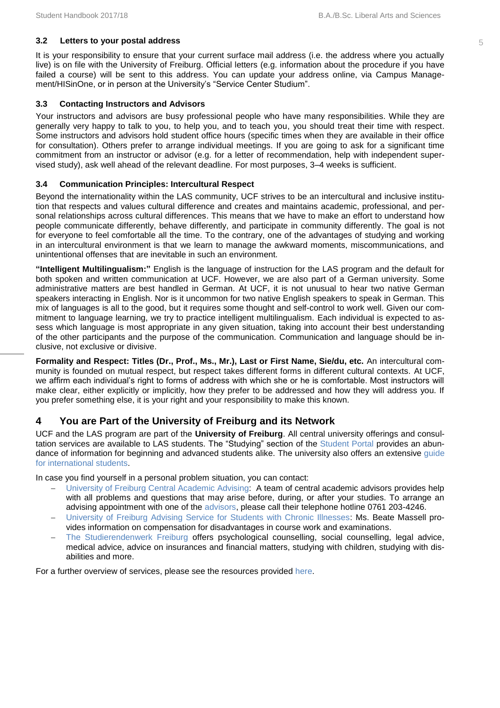#### **3.2 Letters to your postal address** 5

It is your responsibility to ensure that your current surface mail address (i.e. the address where you actually live) is on file with the University of Freiburg. Official letters (e.g. information about the procedure if you have failed a course) will be sent to this address. You can update your address online, via Campus Management/HISinOne, or in person at the University's "Service Center Studium".

#### **3.3 Contacting Instructors and Advisors**

Your instructors and advisors are busy professional people who have many responsibilities. While they are generally very happy to talk to you, to help you, and to teach you, you should treat their time with respect. Some instructors and advisors hold student office hours (specific times when they are available in their office for consultation). Others prefer to arrange individual meetings. If you are going to ask for a significant time commitment from an instructor or advisor (e.g. for a letter of recommendation, help with independent supervised study), ask well ahead of the relevant deadline. For most purposes, 3–4 weeks is sufficient.

#### **3.4 Communication Principles: Intercultural Respect**

Beyond the internationality within the LAS community, UCF strives to be an intercultural and inclusive institution that respects and values cultural difference and creates and maintains academic, professional, and personal relationships across cultural differences. This means that we have to make an effort to understand how people communicate differently, behave differently, and participate in community differently. The goal is not for everyone to feel comfortable all the time. To the contrary, one of the advantages of studying and working in an intercultural environment is that we learn to manage the awkward moments, miscommunications, and unintentional offenses that are inevitable in such an environment.

**"Intelligent Multilingualism:"** English is the language of instruction for the LAS program and the default for both spoken and written communication at UCF. However, we are also part of a German university. Some administrative matters are best handled in German. At UCF, it is not unusual to hear two native German speakers interacting in English. Nor is it uncommon for two native English speakers to speak in German. This mix of languages is all to the good, but it requires some thought and self-control to work well. Given our commitment to language learning, we try to practice intelligent multilingualism. Each individual is expected to assess which language is most appropriate in any given situation, taking into account their best understanding of the other participants and the purpose of the communication. Communication and language should be inclusive, not exclusive or divisive.

**Formality and Respect: Titles (Dr., Prof., Ms., Mr.), Last or First Name, Sie/du, etc.** An intercultural community is founded on mutual respect, but respect takes different forms in different cultural contexts. At UCF, we affirm each individual's right to forms of address with which she or he is comfortable. Most instructors will make clear, either explicitly or implicitly, how they prefer to be addressed and how they will address you. If you prefer something else, it is your right and your responsibility to make this known.

#### <span id="page-7-0"></span>**4 You are Part of the University of Freiburg and its Network**

UCF and the LAS program are part of the **University of Freiburg**. All central university offerings and consultation services are available to LAS students. The "Studying" section of the [Student Portal](http://www.studium.uni-freiburg.de/studium-en) provides an abundance of information for beginning and advanced students alike. The university also offers an extensive [guide](http://www.studium.uni-freiburg.de/documents/international/allgemeine-dokumente-international-en/IO-welcome-guide-en.pdf)  [for international students.](http://www.studium.uni-freiburg.de/documents/international/allgemeine-dokumente-international-en/IO-welcome-guide-en.pdf)

In case you find yourself in a personal problem situation, you can contact:

- [University of Freiburg Central Academic Advising:](http://www.studium.uni-freiburg.de/service_und_beratungsstellen-en/zsb-en/zsb-en) A team of central academic advisors provides help with all problems and questions that may arise before, during, or after your studies. To arrange an advising appointment with one of the [advisors,](http://www.studium.uni-freiburg.de/service_und_beratungsstellen-en/zsb-en/team-en) please call their telephone hotline 0761 203-4246.
- [University of Freiburg Advising Service for Students with Chronic Illnesses:](http://www.studium.uni-freiburg.de/service_und_beratungsstellen-en/studying-with-a-disability/nachteilsausgleich-en?set_language=en) Ms. Beate Massell provides information on compensation for disadvantages in course work and examinations.
- [The Studierendenwerk Freiburg](https://www.swfr.de/en/) offers psychological counselling, social counselling, legal advice, medical advice, advice on insurances and financial matters, studying with children, studying with disabilities and more.

For a further overview of services, please see the resources provided [here.](http://www.studium.uni-freiburg.de/service_und_beratungsstellen-en/service_und_beratung-en?set_language=en)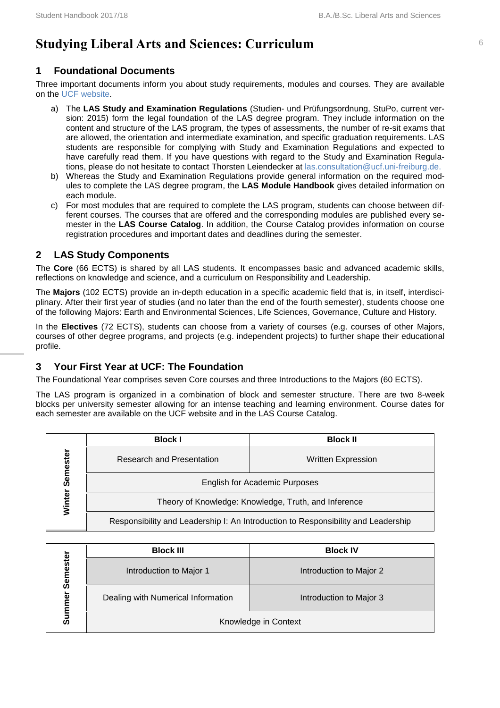# <span id="page-8-0"></span>**Studying Liberal Arts and Sciences: Curriculum**

#### <span id="page-8-1"></span>**1 Foundational Documents**

Three important documents inform you about study requirements, modules and courses. They are available on the [UCF website.](http://www.ucf.uni-freiburg.de/liberal-arts-and-sciences/statutes-and-handbooks)

- a) The **LAS Study and Examination Regulations** (Studien- und Prüfungsordnung, StuPo, current version: 2015) form the legal foundation of the LAS degree program. They include information on the content and structure of the LAS program, the types of assessments, the number of re-sit exams that are allowed, the orientation and intermediate examination, and specific graduation requirements. LAS students are responsible for complying with Study and Examination Regulations and expected to have carefully read them. If you have questions with regard to the Study and Examination Regulations, please do not hesitate to contact Thorsten Leiendecker at [las.consultation@ucf.uni-freiburg.de.](mailto:las.consultation@ucf.uni-freiburg.de)
- b) Whereas the Study and Examination Regulations provide general information on the required modules to complete the LAS degree program, the **LAS Module Handbook** gives detailed information on each module.
- c) For most modules that are required to complete the LAS program, students can choose between different courses. The courses that are offered and the corresponding modules are published every semester in the **LAS Course Catalog**. In addition, the Course Catalog provides information on course registration procedures and important dates and deadlines during the semester.

#### <span id="page-8-2"></span>**2 LAS Study Components**

The **Core** (66 ECTS) is shared by all LAS students. It encompasses basic and advanced academic skills, reflections on knowledge and science, and a curriculum on Responsibility and Leadership.

The **Majors** (102 ECTS) provide an in-depth education in a specific academic field that is, in itself, interdisciplinary. After their first year of studies (and no later than the end of the fourth semester), students choose one of the following Majors: Earth and Environmental Sciences, Life Sciences, Governance, Culture and History.

In the **Electives** (72 ECTS), students can choose from a variety of courses (e.g. courses of other Majors, courses of other degree programs, and projects (e.g. independent projects) to further shape their educational profile.

#### <span id="page-8-3"></span>**3 Your First Year at UCF: The Foundation**

The Foundational Year comprises seven Core courses and three Introductions to the Majors (60 ECTS).

The LAS program is organized in a combination of block and semester structure. There are two 8-week blocks per university semester allowing for an intense teaching and learning environment. Course dates for each semester are available on the UCF website and in the LAS Course Catalog.

|          | <b>Block I</b>                                                                    | <b>Block II</b>           |  |
|----------|-----------------------------------------------------------------------------------|---------------------------|--|
| Semester | Research and Presentation                                                         | <b>Written Expression</b> |  |
|          | <b>English for Academic Purposes</b>                                              |                           |  |
| Winter   | Theory of Knowledge: Knowledge, Truth, and Inference                              |                           |  |
|          | Responsibility and Leadership I: An Introduction to Responsibility and Leadership |                           |  |

|                           | <b>Block III</b>                   | <b>Block IV</b>         |  |
|---------------------------|------------------------------------|-------------------------|--|
|                           | Introduction to Major 1            | Introduction to Major 2 |  |
| Semester<br>mer<br>Ē<br>ທ | Dealing with Numerical Information | Introduction to Major 3 |  |
|                           | Knowledge in Context               |                         |  |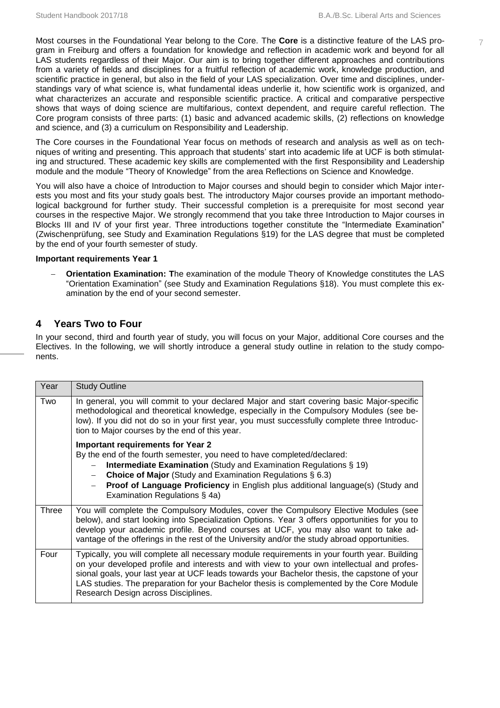Most courses in the Foundational Year belong to the Core. The **Core** is a distinctive feature of the LAS pro- 7 gram in Freiburg and offers a foundation for knowledge and reflection in academic work and beyond for all LAS students regardless of their Major. Our aim is to bring together different approaches and contributions from a variety of fields and disciplines for a fruitful reflection of academic work, knowledge production, and scientific practice in general, but also in the field of your LAS specialization. Over time and disciplines, understandings vary of what science is, what fundamental ideas underlie it, how scientific work is organized, and what characterizes an accurate and responsible scientific practice. A critical and comparative perspective shows that ways of doing science are multifarious, context dependent, and require careful reflection. The Core program consists of three parts: (1) basic and advanced academic skills, (2) reflections on knowledge and science, and (3) a curriculum on Responsibility and Leadership.

The Core courses in the Foundational Year focus on methods of research and analysis as well as on techniques of writing and presenting. This approach that students' start into academic life at UCF is both stimulating and structured. These academic key skills are complemented with the first Responsibility and Leadership module and the module "Theory of Knowledge" from the area Reflections on Science and Knowledge.

You will also have a choice of Introduction to Major courses and should begin to consider which Major interests you most and fits your study goals best. The introductory Major courses provide an important methodological background for further study. Their successful completion is a prerequisite for most second year courses in the respective Major. We strongly recommend that you take three Introduction to Major courses in Blocks III and IV of your first year. Three introductions together constitute the "Intermediate Examination" (Zwischenprüfung, see Study and Examination Regulations §19) for the LAS degree that must be completed by the end of your fourth semester of study.

#### **Important requirements Year 1**

 **Orientation Examination: T**he examination of the module Theory of Knowledge constitutes the LAS "Orientation Examination" (see Study and Examination Regulations §18). You must complete this examination by the end of your second semester.

#### <span id="page-9-0"></span>**4 Years Two to Four**

In your second, third and fourth year of study, you will focus on your Major, additional Core courses and the Electives. In the following, we will shortly introduce a general study outline in relation to the study components.

| Year  | <b>Study Outline</b>                                                                                                                                                                                                                                                                                                                                                                                                          |
|-------|-------------------------------------------------------------------------------------------------------------------------------------------------------------------------------------------------------------------------------------------------------------------------------------------------------------------------------------------------------------------------------------------------------------------------------|
| Two   | In general, you will commit to your declared Major and start covering basic Major-specific<br>methodological and theoretical knowledge, especially in the Compulsory Modules (see be-<br>low). If you did not do so in your first year, you must successfully complete three Introduc-<br>tion to Major courses by the end of this year.                                                                                      |
|       | <b>Important requirements for Year 2</b><br>By the end of the fourth semester, you need to have completed/declared:<br><b>Intermediate Examination</b> (Study and Examination Regulations § 19)<br><b>Choice of Major</b> (Study and Examination Regulations § 6.3)<br><b>Proof of Language Proficiency</b> in English plus additional language(s) (Study and<br>Examination Regulations § 4a)                                |
| Three | You will complete the Compulsory Modules, cover the Compulsory Elective Modules (see<br>below), and start looking into Specialization Options. Year 3 offers opportunities for you to<br>develop your academic profile. Beyond courses at UCF, you may also want to take ad-<br>vantage of the offerings in the rest of the University and/or the study abroad opportunities.                                                 |
| Four  | Typically, you will complete all necessary module requirements in your fourth year. Building<br>on your developed profile and interests and with view to your own intellectual and profes-<br>sional goals, your last year at UCF leads towards your Bachelor thesis, the capstone of your<br>LAS studies. The preparation for your Bachelor thesis is complemented by the Core Module<br>Research Design across Disciplines. |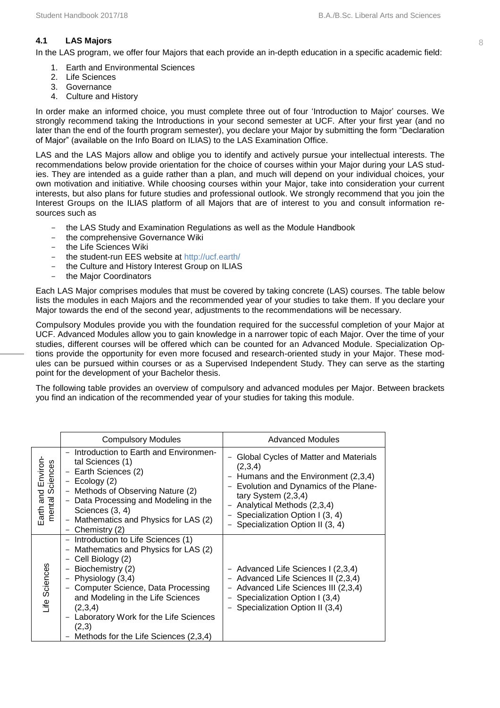#### **4.1 LAS Majors** 8

In the LAS program, we offer four Majors that each provide an in-depth education in a specific academic field:

- 1. Earth and Environmental Sciences
- 2. Life Sciences
- 3. Governance
- 4. Culture and History

In order make an informed choice, you must complete three out of four 'Introduction to Major' courses. We strongly recommend taking the Introductions in your second semester at UCF. After your first year (and no later than the end of the fourth program semester), you declare your Major by submitting the form "Declaration of Major" (available on the Info Board on ILIAS) to the LAS Examination Office.

LAS and the LAS Majors allow and oblige you to identify and actively pursue your intellectual interests. The recommendations below provide orientation for the choice of courses within your Major during your LAS studies. They are intended as a guide rather than a plan, and much will depend on your individual choices, your own motivation and initiative. While choosing courses within your Major, take into consideration your current interests, but also plans for future studies and professional outlook. We strongly recommend that you join the Interest Groups on the ILIAS platform of all Majors that are of interest to you and consult information resources such as

- the LAS Study and Examination Regulations as well as the Module Handbook
- the comprehensive Governance Wiki
- the Life Sciences Wiki
- the student-run EES website at<http://ucf.earth/>
- the Culture and History Interest Group on ILIAS
- the Major Coordinators

Each LAS Major comprises modules that must be covered by taking concrete (LAS) courses. The table below lists the modules in each Majors and the recommended year of your studies to take them. If you declare your Major towards the end of the second year, adjustments to the recommendations will be necessary.

Compulsory Modules provide you with the foundation required for the successful completion of your Major at UCF. Advanced Modules allow you to gain knowledge in a narrower topic of each Major. Over the time of your studies, different courses will be offered which can be counted for an Advanced Module. Specialization Options provide the opportunity for even more focused and research-oriented study in your Major. These modules can be pursued within courses or as a Supervised Independent Study. They can serve as the starting point for the development of your Bachelor thesis.

The following table provides an overview of compulsory and advanced modules per Major. Between brackets you find an indication of the recommended year of your studies for taking this module.

|                                            | <b>Compulsory Modules</b>                                                                                                                                                                                                                                                                                                                                                                                                                              | <b>Advanced Modules</b>                                                                                                                                                                                                                                    |
|--------------------------------------------|--------------------------------------------------------------------------------------------------------------------------------------------------------------------------------------------------------------------------------------------------------------------------------------------------------------------------------------------------------------------------------------------------------------------------------------------------------|------------------------------------------------------------------------------------------------------------------------------------------------------------------------------------------------------------------------------------------------------------|
| Earth and Environ-<br>ciences<br>mental So | Introduction to Earth and Environmen-<br>tal Sciences (1)<br>- Earth Sciences (2)<br>$-$ Ecology (2)<br>Methods of Observing Nature (2)<br>$\overline{\phantom{a}}$<br>- Data Processing and Modeling in the<br>Sciences (3, 4)<br>Mathematics and Physics for LAS (2)<br>$\overline{\phantom{m}}$<br>Chemistry (2)                                                                                                                                    | Global Cycles of Matter and Materials<br>(2,3,4)<br>Humans and the Environment (2,3,4)<br>Evolution and Dynamics of the Plane-<br>tary System $(2,3,4)$<br>Analytical Methods (2,3,4)<br>Specialization Option I (3, 4)<br>Specialization Option II (3, 4) |
| Life Sciences                              | - Introduction to Life Sciences (1)<br>Mathematics and Physics for LAS (2)<br>$\qquad \qquad -$<br>Cell Biology (2)<br>$\overline{\phantom{m}}$<br>Biochemistry (2)<br>$\qquad \qquad -$<br>Physiology (3,4)<br>$\overline{\phantom{a}}$<br>- Computer Science, Data Processing<br>and Modeling in the Life Sciences<br>(2,3,4)<br>Laboratory Work for the Life Sciences<br>$\overline{\phantom{0}}$<br>(2,3)<br>Methods for the Life Sciences (2,3,4) | - Advanced Life Sciences I (2,3,4)<br>- Advanced Life Sciences II (2,3,4)<br>Advanced Life Sciences III (2,3,4)<br>Specialization Option I (3,4)<br>Specialization Option II (3,4)                                                                         |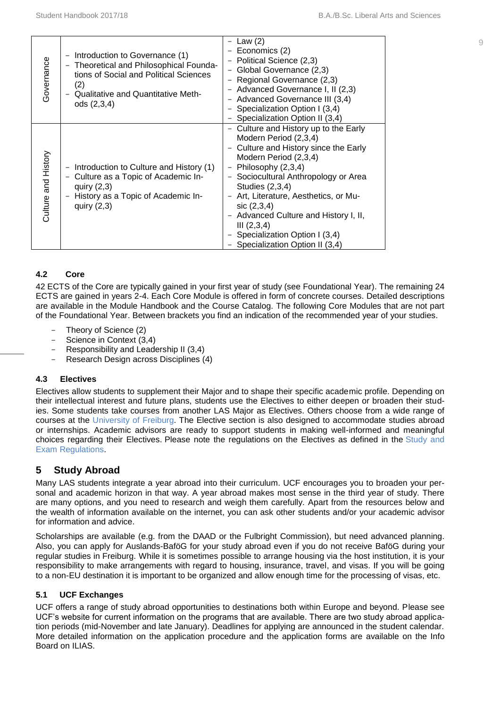| Governance          | Introduction to Governance (1)<br>—<br>Theoretical and Philosophical Founda-<br>$\overline{\phantom{m}}$<br>tions of Social and Political Sciences<br>(2)<br><b>Qualitative and Quantitative Meth-</b><br>$\overline{\phantom{0}}$<br>ods (2,3,4) | Law $(2)$<br>Economics (2)<br>Political Science (2,3)<br>- Global Governance (2,3)<br>Regional Governance (2,3)<br>- Advanced Governance I, II (2,3)<br>- Advanced Governance III (3,4)<br>- Specialization Option I (3,4)<br>Specialization Option II (3,4)                                                                                                                                     |
|---------------------|---------------------------------------------------------------------------------------------------------------------------------------------------------------------------------------------------------------------------------------------------|--------------------------------------------------------------------------------------------------------------------------------------------------------------------------------------------------------------------------------------------------------------------------------------------------------------------------------------------------------------------------------------------------|
| Culture and History | Introduction to Culture and History (1)<br>$\overline{\phantom{m}}$<br>- Culture as a Topic of Academic In-<br>quiry $(2,3)$<br>- History as a Topic of Academic In-<br>quiry $(2,3)$                                                             | Culture and History up to the Early<br>Modern Period (2,3,4)<br>Culture and History since the Early<br>Modern Period (2,3,4)<br>Philosophy (2,3,4)<br>Sociocultural Anthropology or Area<br>Studies (2,3,4)<br>Art, Literature, Aesthetics, or Mu-<br>sic (2,3,4)<br>- Advanced Culture and History I, II,<br>III (2,3,4)<br>- Specialization Option I (3,4)<br>- Specialization Option II (3,4) |

#### **4.2 Core**

42 ECTS of the Core are typically gained in your first year of study (see Foundational Year). The remaining 24 ECTS are gained in years 2-4. Each Core Module is offered in form of concrete courses. Detailed descriptions are available in the Module Handbook and the Course Catalog. The following Core Modules that are not part of the Foundational Year. Between brackets you find an indication of the recommended year of your studies.

- Theory of Science (2)
- Science in Context (3,4)
- Responsibility and Leadership II (3,4)
- Research Design across Disciplines (4)

#### **4.3 Electives**

Electives allow students to supplement their Major and to shape their specific academic profile. Depending on their intellectual interest and future plans, students use the Electives to either deepen or broaden their studies. Some students take courses from another LAS Major as Electives. Others choose from a wide range of courses at the [University of Freiburg.](https://campus.uni-freiburg.de/qisserver/pages/cm/exa/coursecatalog/showCourseCatalog.xhtml?_flowId=showCourseCatalog-flow&_flowExecutionKey=e1s1&noDBAction=y&init=y) The Elective section is also designed to accommodate studies abroad or internships. Academic advisors are ready to support students in making well-informed and meaningful choices regarding their Electives. Please note the regulations on the Electives as defined in the [Study and](http://www.ucf.uni-freiburg.de/liberal-arts-and-sciences/statutes-and-handbooks)  [Exam Regulations.](http://www.ucf.uni-freiburg.de/liberal-arts-and-sciences/statutes-and-handbooks)

#### <span id="page-11-0"></span>**5 Study Abroad**

Many LAS students integrate a year abroad into their curriculum. UCF encourages you to broaden your personal and academic horizon in that way. A year abroad makes most sense in the third year of study. There are many options, and you need to research and weigh them carefully. Apart from the resources below and the wealth of information available on the internet, you can ask other students and/or your academic advisor for information and advice.

Scholarships are available (e.g. from the DAAD or the Fulbright Commission), but need advanced planning. Also, you can apply for Auslands-BaföG for your study abroad even if you do not receive BaföG during your regular studies in Freiburg. While it is sometimes possible to arrange housing via the host institution, it is your responsibility to make arrangements with regard to housing, insurance, travel, and visas. If you will be going to a non-EU destination it is important to be organized and allow enough time for the processing of visas, etc.

#### **5.1 UCF Exchanges**

UCF offers a range of study abroad opportunities to destinations both within Europe and beyond. Please see UCF's website for current information on the programs that are available. There are two study abroad application periods (mid-November and late January). Deadlines for applying are announced in the student calendar. More detailed information on the application procedure and the application forms are available on the Info Board on ILIAS.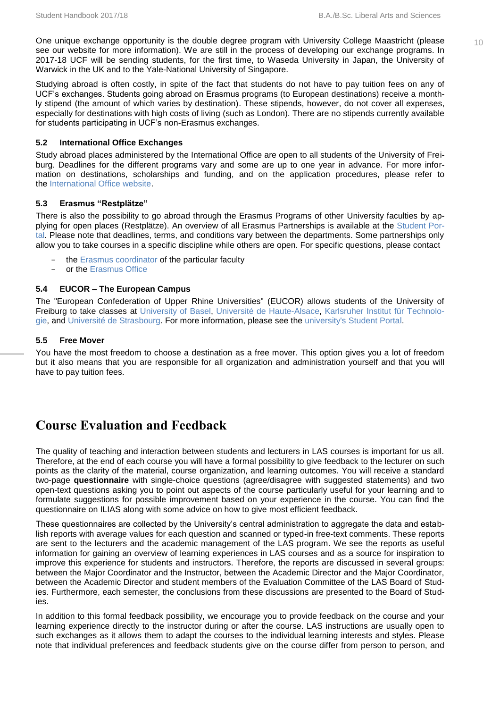One unique exchange opportunity is the double degree program with University College Maastricht (please  $10$ see our website for more information). We are still in the process of developing our exchange programs. In 2017-18 UCF will be sending students, for the first time, to Waseda University in Japan, the University of Warwick in the UK and to the Yale-National University of Singapore.

Studying abroad is often costly, in spite of the fact that students do not have to pay tuition fees on any of UCF's exchanges. Students going abroad on Erasmus programs (to European destinations) receive a monthly stipend (the amount of which varies by destination). These stipends, however, do not cover all expenses, especially for destinations with high costs of living (such as London). There are no stipends currently available for students participating in UCF's non-Erasmus exchanges.

#### **5.2 International Office Exchanges**

Study abroad places administered by the International Office are open to all students of the University of Freiburg. Deadlines for the different programs vary and some are up to one year in advance. For more information on destinations, scholarships and funding, and on the application procedures, please refer to the [International Office website.](http://www.international.uni-freiburg.de/out/study/exchange)

#### **5.3 Erasmus "Restplätze"**

There is also the possibility to go abroad through the Erasmus Programs of other University faculties by applying for open places (Restplätze). An overview of all Erasmus Partnerships is available at the [Student Por](http://www.studium.uni-freiburg.de/studienbewerbung-en/austausch-en/erasmus-en/austauschplaetze?set_language=en)[tal.](http://www.studium.uni-freiburg.de/studienbewerbung-en/austausch-en/erasmus-en/austauschplaetze?set_language=en) Please note that deadlines, terms, and conditions vary between the departments. Some partnerships only allow you to take courses in a specific discipline while others are open. For specific questions, please contact

- the [Erasmus coordinator](http://www.studium.uni-freiburg.de/documents/erasmus/fachkoordinatoren) of the particular faculty
- or the [Erasmus Office](http://www.studium.uni-freiburg.de/service_und_beratungsstellen-en/eu-en)

#### **5.4 EUCOR – The European Campus**

The "European Confederation of Upper Rhine Universities" (EUCOR) allows students of the University of Freiburg to take classes at [University of Basel,](https://www.unibas.ch/en.html) [Université de Haute-Alsace,](http://www.uha.fr/) [Karlsruher Institut für Technolo](http://www.kit.edu/english/index.php)[gie,](http://www.kit.edu/english/index.php) and [Université de Strasbourg.](http://www.en.unistra.fr/index.php?id=21304) For more information, please see the [university's Student Portal.](http://www.studium.uni-freiburg.de/studienbewerbung-en/austausch-en/eucor-en/eucor.html-en?set_language=en)

#### **5.5 Free Mover**

<span id="page-12-0"></span>You have the most freedom to choose a destination as a free mover. This option gives you a lot of freedom but it also means that you are responsible for all organization and administration yourself and that you will have to pay tuition fees.

## **Course Evaluation and Feedback**

The quality of teaching and interaction between students and lecturers in LAS courses is important for us all. Therefore, at the end of each course you will have a formal possibility to give feedback to the lecturer on such points as the clarity of the material, course organization, and learning outcomes. You will receive a standard two-page **questionnaire** with single-choice questions (agree/disagree with suggested statements) and two open-text questions asking you to point out aspects of the course particularly useful for your learning and to formulate suggestions for possible improvement based on your experience in the course. You can find the questionnaire on ILIAS along with some advice on how to give most efficient feedback.

These questionnaires are collected by the University's central administration to aggregate the data and establish reports with average values for each question and scanned or typed-in free-text comments. These reports are sent to the lecturers and the academic management of the LAS program. We see the reports as useful information for gaining an overview of learning experiences in LAS courses and as a source for inspiration to improve this experience for students and instructors. Therefore, the reports are discussed in several groups: between the Major Coordinator and the Instructor, between the Academic Director and the Major Coordinator, between the Academic Director and student members of the Evaluation Committee of the LAS Board of Studies. Furthermore, each semester, the conclusions from these discussions are presented to the Board of Studies.

In addition to this formal feedback possibility, we encourage you to provide feedback on the course and your learning experience directly to the instructor during or after the course. LAS instructions are usually open to such exchanges as it allows them to adapt the courses to the individual learning interests and styles. Please note that individual preferences and feedback students give on the course differ from person to person, and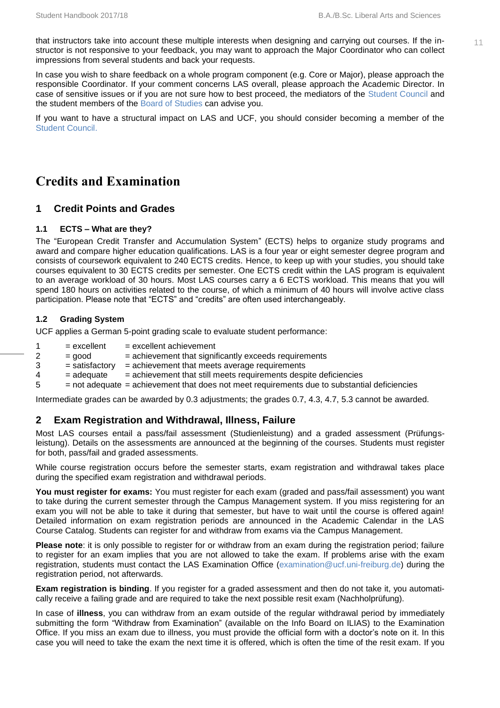that instructors take into account these multiple interests when designing and carrying out courses. If the instructor is not responsive to your feedback, you may want to approach the Major Coordinator who can collect impressions from several students and back your requests.

In case you wish to share feedback on a whole program component (e.g. Core or Major), please approach the responsible Coordinator. If your comment concerns LAS overall, please approach the Academic Director. In case of sensitive issues or if you are not sure how to best proceed, the mediators of the [Student Council](http://www.ucf.uni-freiburg.de/people/students-council) and the student members of the [Board of Studies](http://www.ucf.uni-freiburg.de/liberal-arts-and-sciences/board-of-studies) can advise you.

<span id="page-13-0"></span>If you want to have a structural impact on LAS and UCF, you should consider becoming a member of the [Student Council.](http://www.ucf.uni-freiburg.de/people/students-council)

# **Credits and Examination**

#### <span id="page-13-1"></span>**1 Credit Points and Grades**

#### **1.1 ECTS – What are they?**

The "European Credit Transfer and Accumulation System" (ECTS) helps to organize study programs and award and compare higher education qualifications. LAS is a four year or eight semester degree program and consists of coursework equivalent to 240 ECTS credits. Hence, to keep up with your studies, you should take courses equivalent to 30 ECTS credits per semester. One ECTS credit within the LAS program is equivalent to an average workload of 30 hours. Most LAS courses carry a 6 ECTS workload. This means that you will spend 180 hours on activities related to the course, of which a minimum of 40 hours will involve active class participation. Please note that "ECTS" and "credits" are often used interchangeably.

#### **1.2 Grading System**

UCF applies a German 5-point grading scale to evaluate student performance:

- $1 =$  excellent  $=$  excellent achievement
- $2 = good$  = achievement that significantly exceeds requirements<br>3 = satisfactory = achievement that meets average requirements
- $=$  satisfactory  $=$  achievement that meets average requirements
- $4 = ad$  adequate  $=$  achievement that still meets requirements despite deficiencies
- 5 = not adequate = achievement that does not meet requirements due to substantial deficiencies

Intermediate grades can be awarded by 0.3 adjustments; the grades 0.7, 4.3, 4.7, 5.3 cannot be awarded.

#### <span id="page-13-2"></span>**2 Exam Registration and Withdrawal, Illness, Failure**

Most LAS courses entail a pass/fail assessment (Studienleistung) and a graded assessment (Prüfungsleistung). Details on the assessments are announced at the beginning of the courses. Students must register for both, pass/fail and graded assessments.

While course registration occurs before the semester starts, exam registration and withdrawal takes place during the specified exam registration and withdrawal periods.

**You must register for exams:** You must register for each exam (graded and pass/fail assessment) you want to take during the current semester through the Campus Management system. If you miss registering for an exam you will not be able to take it during that semester, but have to wait until the course is offered again! Detailed information on exam registration periods are announced in the Academic Calendar in the LAS Course Catalog. Students can register for and withdraw from exams via the Campus Management.

**Please note**: it is only possible to register for or withdraw from an exam during the registration period; failure to register for an exam implies that you are not allowed to take the exam. If problems arise with the exam registration, students must contact the LAS Examination Office [\(examination@ucf.uni-freiburg.de\)](mailto:examination@ucf.uni-freiburg.de) during the registration period, not afterwards.

**Exam registration is binding**. If you register for a graded assessment and then do not take it, you automatically receive a failing grade and are required to take the next possible resit exam (Nachholprüfung).

In case of **illness**, you can withdraw from an exam outside of the regular withdrawal period by immediately submitting the form "Withdraw from Examination" (available on the Info Board on ILIAS) to the Examination Office. If you miss an exam due to illness, you must provide the official form with a doctor's note on it. In this case you will need to take the exam the next time it is offered, which is often the time of the resit exam. If you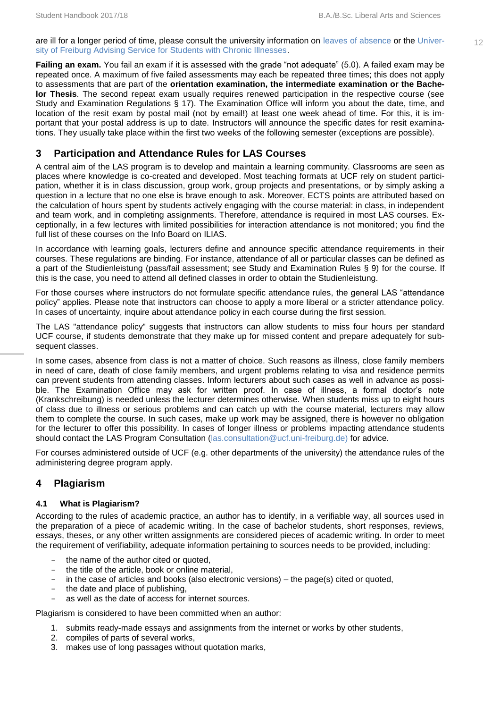are ill for a longer period of time, please consult the university information on leaves [of absence](https://www.studium.uni-freiburg.de/studium-en/beurlaubung-en/beurlaubung-en?set_language=en) or th[e Univer-](http://www.studium.uni-freiburg.de/service_und_beratungsstellen-en/studying-with-a-disability/nachteilsausgleich-en?set_language=en)<br>
12 [sity of Freiburg Advising Service for Students with Chronic Illnesses.](http://www.studium.uni-freiburg.de/service_und_beratungsstellen-en/studying-with-a-disability/nachteilsausgleich-en?set_language=en)

**Failing an exam.** You fail an exam if it is assessed with the grade "not adequate" (5.0). A failed exam may be repeated once. A maximum of five failed assessments may each be repeated three times; this does not apply to assessments that are part of the **orientation examination, the intermediate examination or the Bachelor Thesis**. The second repeat exam usually requires renewed participation in the respective course (see Study and Examination Regulations § 17). The Examination Office will inform you about the date, time, and location of the resit exam by postal mail (not by email!) at least one week ahead of time. For this, it is important that your postal address is up to date. Instructors will announce the specific dates for resit examinations. They usually take place within the first two weeks of the following semester (exceptions are possible).

#### <span id="page-14-0"></span>**3 Participation and Attendance Rules for LAS Courses**

A central aim of the LAS program is to develop and maintain a learning community. Classrooms are seen as places where knowledge is co-created and developed. Most teaching formats at UCF rely on student participation, whether it is in class discussion, group work, group projects and presentations, or by simply asking a question in a lecture that no one else is brave enough to ask. Moreover, ECTS points are attributed based on the calculation of hours spent by students actively engaging with the course material: in class, in independent and team work, and in completing assignments. Therefore, attendance is required in most LAS courses. Exceptionally, in a few lectures with limited possibilities for interaction attendance is not monitored; you find the full list of these courses on the Info Board on ILIAS.

In accordance with learning goals, lecturers define and announce specific attendance requirements in their courses. These regulations are binding. For instance, attendance of all or particular classes can be defined as a part of the Studienleistung (pass/fail assessment; see Study and Examination Rules § 9) for the course. If this is the case, you need to attend all defined classes in order to obtain the Studienleistung.

For those courses where instructors do not formulate specific attendance rules, the general LAS "attendance policy" applies. Please note that instructors can choose to apply a more liberal or a stricter attendance policy. In cases of uncertainty, inquire about attendance policy in each course during the first session.

The LAS "attendance policy" suggests that instructors can allow students to miss four hours per standard UCF course, if students demonstrate that they make up for missed content and prepare adequately for subsequent classes.

In some cases, absence from class is not a matter of choice. Such reasons as illness, close family members in need of care, death of close family members, and urgent problems relating to visa and residence permits can prevent students from attending classes. Inform lecturers about such cases as well in advance as possible. The Examination Office may ask for written proof. In case of illness, a formal doctor's note (Krankschreibung) is needed unless the lecturer determines otherwise. When students miss up to eight hours of class due to illness or serious problems and can catch up with the course material, lecturers may allow them to complete the course. In such cases, make up work may be assigned, there is however no obligation for the lecturer to offer this possibility. In cases of longer illness or problems impacting attendance students should contact the LAS Program Consultation [\(las.consultation@ucf.uni-freiburg.de\)](mailto:las.consultation@ucf.uni-freiburg.de) for advice.

For courses administered outside of UCF (e.g. other departments of the university) the attendance rules of the administering degree program apply.

#### <span id="page-14-1"></span>**4 Plagiarism**

#### **4.1 What is Plagiarism?**

According to the rules of academic practice, an author has to identify, in a verifiable way, all sources used in the preparation of a piece of academic writing. In the case of bachelor students, short responses, reviews, essays, theses, or any other written assignments are considered pieces of academic writing. In order to meet the requirement of verifiability, adequate information pertaining to sources needs to be provided, including:

- the name of the author cited or quoted,
- the title of the article, book or online material.
- in the case of articles and books (also electronic versions) the page(s) cited or quoted,
- the date and place of publishing,
- as well as the date of access for internet sources.

Plagiarism is considered to have been committed when an author:

- 1. submits ready-made essays and assignments from the internet or works by other students,
- 2. compiles of parts of several works,
- 3. makes use of long passages without quotation marks,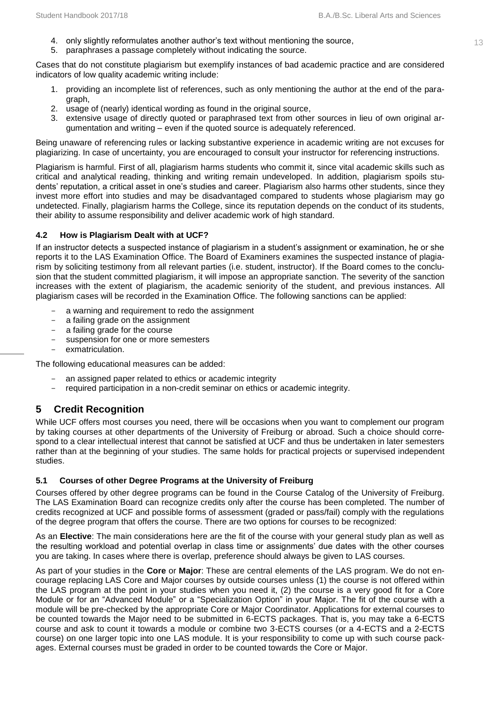- 4. only slightly reformulates another author's text without mentioning the source, 13 metal only slightly reformulates another author's text without mentioning the source,
- 5. paraphrases a passage completely without indicating the source.

Cases that do not constitute plagiarism but exemplify instances of bad academic practice and are considered indicators of low quality academic writing include:

- 1. providing an incomplete list of references, such as only mentioning the author at the end of the paragraph,
- 2. usage of (nearly) identical wording as found in the original source,
- 3. extensive usage of directly quoted or paraphrased text from other sources in lieu of own original argumentation and writing – even if the quoted source is adequately referenced.

Being unaware of referencing rules or lacking substantive experience in academic writing are not excuses for plagiarizing. In case of uncertainty, you are encouraged to consult your instructor for referencing instructions.

Plagiarism is harmful. First of all, plagiarism harms students who commit it, since vital academic skills such as critical and analytical reading, thinking and writing remain undeveloped. In addition, plagiarism spoils students' reputation, a critical asset in one's studies and career. Plagiarism also harms other students, since they invest more effort into studies and may be disadvantaged compared to students whose plagiarism may go undetected. Finally, plagiarism harms the College, since its reputation depends on the conduct of its students, their ability to assume responsibility and deliver academic work of high standard.

#### **4.2 How is Plagiarism Dealt with at UCF?**

If an instructor detects a suspected instance of plagiarism in a student's assignment or examination, he or she reports it to the LAS Examination Office. The Board of Examiners examines the suspected instance of plagiarism by soliciting testimony from all relevant parties (i.e. student, instructor). If the Board comes to the conclusion that the student committed plagiarism, it will impose an appropriate sanction. The severity of the sanction increases with the extent of plagiarism, the academic seniority of the student, and previous instances. All plagiarism cases will be recorded in the Examination Office. The following sanctions can be applied:

- a warning and requirement to redo the assignment
- a failing grade on the assignment
- a failing grade for the course
- suspension for one or more semesters
- exmatriculation.

The following educational measures can be added:

- an assigned paper related to ethics or academic integrity
- required participation in a non-credit seminar on ethics or academic integrity.

### <span id="page-15-0"></span>**5 Credit Recognition**

While UCF offers most courses you need, there will be occasions when you want to complement our program by taking courses at other departments of the University of Freiburg or abroad. Such a choice should correspond to a clear intellectual interest that cannot be satisfied at UCF and thus be undertaken in later semesters rather than at the beginning of your studies. The same holds for practical projects or supervised independent studies.

#### **5.1 Courses of other Degree Programs at the University of Freiburg**

Courses offered by other degree programs can be found in the Course Catalog of the University of Freiburg. The LAS Examination Board can recognize credits only after the course has been completed. The number of credits recognized at UCF and possible forms of assessment (graded or pass/fail) comply with the regulations of the degree program that offers the course. There are two options for courses to be recognized:

As an **Elective**: The main considerations here are the fit of the course with your general study plan as well as the resulting workload and potential overlap in class time or assignments' due dates with the other courses you are taking. In cases where there is overlap, preference should always be given to LAS courses.

As part of your studies in the **Core** or **Major**: These are central elements of the LAS program. We do not encourage replacing LAS Core and Major courses by outside courses unless (1) the course is not offered within the LAS program at the point in your studies when you need it, (2) the course is a very good fit for a Core Module or for an "Advanced Module" or a "Specialization Option" in your Major. The fit of the course with a module will be pre-checked by the appropriate Core or Major Coordinator. Applications for external courses to be counted towards the Major need to be submitted in 6-ECTS packages. That is, you may take a 6-ECTS course and ask to count it towards a module or combine two 3-ECTS courses (or a 4-ECTS and a 2-ECTS course) on one larger topic into one LAS module. It is your responsibility to come up with such course packages. External courses must be graded in order to be counted towards the Core or Major.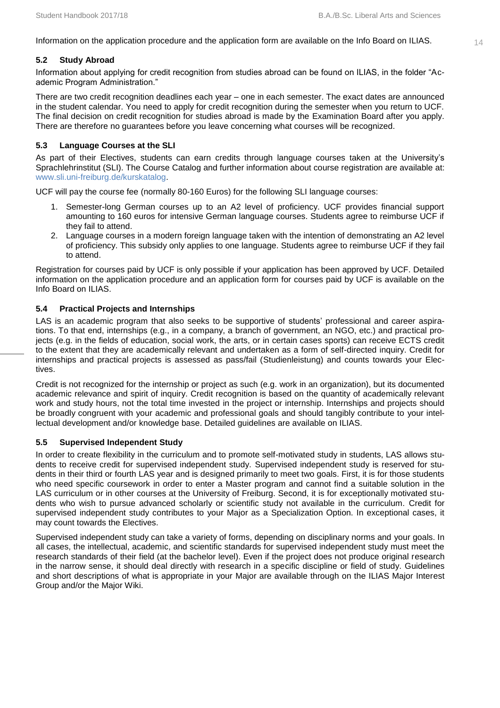Information on the application procedure and the application form are available on the Info Board on ILIAS.  $14$ 

#### **5.2 Study Abroad**

Information about applying for credit recognition from studies abroad can be found on ILIAS, in the folder "Academic Program Administration."

There are two credit recognition deadlines each year – one in each semester. The exact dates are announced in the student calendar. You need to apply for credit recognition during the semester when you return to UCF. The final decision on credit recognition for studies abroad is made by the Examination Board after you apply. There are therefore no guarantees before you leave concerning what courses will be recognized.

#### **5.3 Language Courses at the SLI**

As part of their Electives, students can earn credits through language courses taken at the University's Sprachlehrinstitut (SLI). The Course Catalog and further information about course registration are available at: [www.sli.uni-freiburg.de/kurskatalog.](http://www.sli.uni-freiburg.de/kurskatalog)

UCF will pay the course fee (normally 80-160 Euros) for the following SLI language courses:

- 1. Semester-long German courses up to an A2 level of proficiency. UCF provides financial support amounting to 160 euros for intensive German language courses. Students agree to reimburse UCF if they fail to attend.
- 2. Language courses in a modern foreign language taken with the intention of demonstrating an A2 level of proficiency. This subsidy only applies to one language. Students agree to reimburse UCF if they fail to attend.

Registration for courses paid by UCF is only possible if your application has been approved by UCF. Detailed information on the application procedure and an application form for courses paid by UCF is available on the Info Board on ILIAS.

#### **5.4 Practical Projects and Internships**

LAS is an academic program that also seeks to be supportive of students' professional and career aspirations. To that end, internships (e.g., in a company, a branch of government, an NGO, etc.) and practical projects (e.g. in the fields of education, social work, the arts, or in certain cases sports) can receive ECTS credit to the extent that they are academically relevant and undertaken as a form of self-directed inquiry. Credit for internships and practical projects is assessed as pass/fail (Studienleistung) and counts towards your Electives.

Credit is not recognized for the internship or project as such (e.g. work in an organization), but its documented academic relevance and spirit of inquiry. Credit recognition is based on the quantity of academically relevant work and study hours, not the total time invested in the project or internship. Internships and projects should be broadly congruent with your academic and professional goals and should tangibly contribute to your intellectual development and/or knowledge base. Detailed guidelines are available on ILIAS.

#### **5.5 Supervised Independent Study**

In order to create flexibility in the curriculum and to promote self-motivated study in students, LAS allows students to receive credit for supervised independent study. Supervised independent study is reserved for students in their third or fourth LAS year and is designed primarily to meet two goals. First, it is for those students who need specific coursework in order to enter a Master program and cannot find a suitable solution in the LAS curriculum or in other courses at the University of Freiburg. Second, it is for exceptionally motivated students who wish to pursue advanced scholarly or scientific study not available in the curriculum. Credit for supervised independent study contributes to your Major as a Specialization Option. In exceptional cases, it may count towards the Electives.

Supervised independent study can take a variety of forms, depending on disciplinary norms and your goals. In all cases, the intellectual, academic, and scientific standards for supervised independent study must meet the research standards of their field (at the bachelor level). Even if the project does not produce original research in the narrow sense, it should deal directly with research in a specific discipline or field of study. Guidelines and short descriptions of what is appropriate in your Major are available through on the ILIAS Major Interest Group and/or the Major Wiki.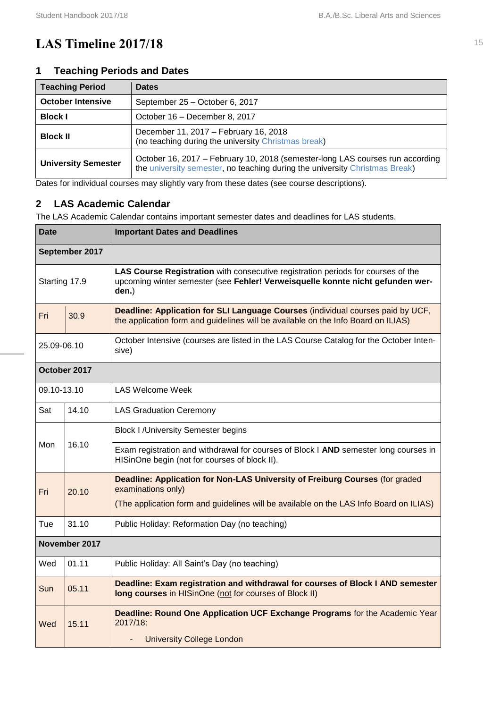# <span id="page-17-0"></span>**LAS Timeline 2017/18** 15

#### <span id="page-17-1"></span>**1 Teaching Periods and Dates**

| <b>Teaching Period</b>                          | <b>Dates</b>                                                                                                                                                 |
|-------------------------------------------------|--------------------------------------------------------------------------------------------------------------------------------------------------------------|
| <b>October Intensive</b>                        | September 25 - October 6, 2017                                                                                                                               |
| <b>Block I</b><br>October 16 – December 8, 2017 |                                                                                                                                                              |
| <b>Block II</b>                                 | December 11, 2017 - February 16, 2018<br>(no teaching during the university Christmas break)                                                                 |
| <b>University Semester</b>                      | October 16, 2017 – February 10, 2018 (semester-long LAS courses run according<br>the university semester, no teaching during the university Christmas Break) |

Dates for individual courses may slightly vary from these dates (see course descriptions).

#### <span id="page-17-2"></span>**2 LAS Academic Calendar**

The LAS Academic Calendar contains important semester dates and deadlines for LAS students.

| <b>Date</b>   |                | <b>Important Dates and Deadlines</b>                                                                                                                                        |  |
|---------------|----------------|-----------------------------------------------------------------------------------------------------------------------------------------------------------------------------|--|
|               | September 2017 |                                                                                                                                                                             |  |
| Starting 17.9 |                | LAS Course Registration with consecutive registration periods for courses of the<br>upcoming winter semester (see Fehler! Verweisquelle konnte nicht gefunden wer-<br>den.) |  |
| Fri           | 30.9           | Deadline: Application for SLI Language Courses (individual courses paid by UCF,<br>the application form and guidelines will be available on the Info Board on ILIAS)        |  |
| 25.09-06.10   |                | October Intensive (courses are listed in the LAS Course Catalog for the October Inten-<br>sive)                                                                             |  |
|               | October 2017   |                                                                                                                                                                             |  |
| 09.10-13.10   |                | LAS Welcome Week                                                                                                                                                            |  |
| Sat           | 14.10          | <b>LAS Graduation Ceremony</b>                                                                                                                                              |  |
|               | 16.10          | <b>Block I / University Semester begins</b>                                                                                                                                 |  |
| Mon           |                | Exam registration and withdrawal for courses of Block I AND semester long courses in<br>HISinOne begin (not for courses of block II).                                       |  |
| Fri           | 20.10          | Deadline: Application for Non-LAS University of Freiburg Courses (for graded<br>examinations only)                                                                          |  |
|               |                | (The application form and guidelines will be available on the LAS Info Board on ILIAS)                                                                                      |  |
| Tue           | 31.10          | Public Holiday: Reformation Day (no teaching)                                                                                                                               |  |
|               | November 2017  |                                                                                                                                                                             |  |
| Wed           | 01.11          | Public Holiday: All Saint's Day (no teaching)                                                                                                                               |  |
| Sun           | 05.11          | Deadline: Exam registration and withdrawal for courses of Block I AND semester<br>long courses in HISinOne (not for courses of Block II)                                    |  |
| Wed           | 15.11          | Deadline: Round One Application UCF Exchange Programs for the Academic Year<br>2017/18:<br><b>University College London</b>                                                 |  |
|               |                |                                                                                                                                                                             |  |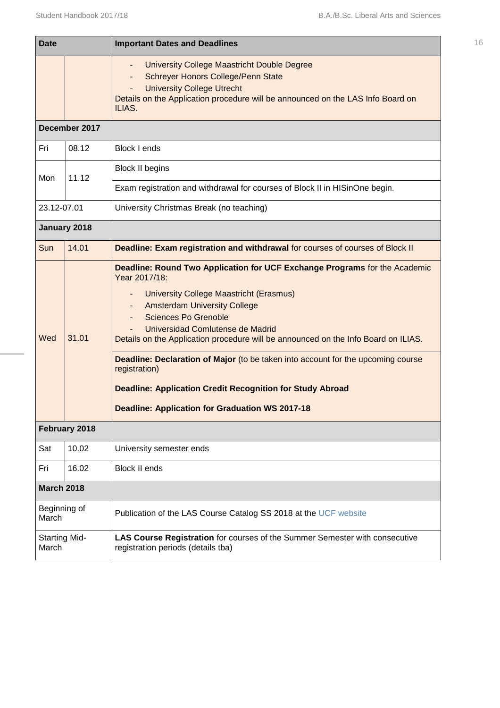| <b>Date</b>                   |               | <b>Important Dates and Deadlines</b>                                                                                                                                                                                                                                                                                                                                                                                                                                                                                                                                             | 16 |
|-------------------------------|---------------|----------------------------------------------------------------------------------------------------------------------------------------------------------------------------------------------------------------------------------------------------------------------------------------------------------------------------------------------------------------------------------------------------------------------------------------------------------------------------------------------------------------------------------------------------------------------------------|----|
|                               |               | <b>University College Maastricht Double Degree</b><br><b>Schreyer Honors College/Penn State</b><br><b>University College Utrecht</b><br>Details on the Application procedure will be announced on the LAS Info Board on<br>ILIAS.                                                                                                                                                                                                                                                                                                                                                |    |
|                               | December 2017 |                                                                                                                                                                                                                                                                                                                                                                                                                                                                                                                                                                                  |    |
| Fri                           | 08.12         | <b>Block I ends</b>                                                                                                                                                                                                                                                                                                                                                                                                                                                                                                                                                              |    |
| Mon                           | 11.12         | <b>Block II begins</b>                                                                                                                                                                                                                                                                                                                                                                                                                                                                                                                                                           |    |
|                               |               | Exam registration and withdrawal for courses of Block II in HISinOne begin.                                                                                                                                                                                                                                                                                                                                                                                                                                                                                                      |    |
| 23.12-07.01                   |               | University Christmas Break (no teaching)                                                                                                                                                                                                                                                                                                                                                                                                                                                                                                                                         |    |
|                               | January 2018  |                                                                                                                                                                                                                                                                                                                                                                                                                                                                                                                                                                                  |    |
| Sun                           | 14.01         | Deadline: Exam registration and withdrawal for courses of courses of Block II                                                                                                                                                                                                                                                                                                                                                                                                                                                                                                    |    |
| Wed                           | 31.01         | Deadline: Round Two Application for UCF Exchange Programs for the Academic<br>Year 2017/18:<br><b>University College Maastricht (Erasmus)</b><br><b>Amsterdam University College</b><br><b>Sciences Po Grenoble</b><br>Universidad Comlutense de Madrid<br>Details on the Application procedure will be announced on the Info Board on ILIAS.<br>Deadline: Declaration of Major (to be taken into account for the upcoming course<br>registration)<br><b>Deadline: Application Credit Recognition for Study Abroad</b><br><b>Deadline: Application for Graduation WS 2017-18</b> |    |
|                               | February 2018 |                                                                                                                                                                                                                                                                                                                                                                                                                                                                                                                                                                                  |    |
| Sat                           | 10.02         | University semester ends                                                                                                                                                                                                                                                                                                                                                                                                                                                                                                                                                         |    |
| Fri                           | 16.02         | <b>Block II ends</b>                                                                                                                                                                                                                                                                                                                                                                                                                                                                                                                                                             |    |
| <b>March 2018</b>             |               |                                                                                                                                                                                                                                                                                                                                                                                                                                                                                                                                                                                  |    |
| Beginning of<br>March         |               | Publication of the LAS Course Catalog SS 2018 at the UCF website                                                                                                                                                                                                                                                                                                                                                                                                                                                                                                                 |    |
| <b>Starting Mid-</b><br>March |               | LAS Course Registration for courses of the Summer Semester with consecutive<br>registration periods (details tba)                                                                                                                                                                                                                                                                                                                                                                                                                                                                |    |